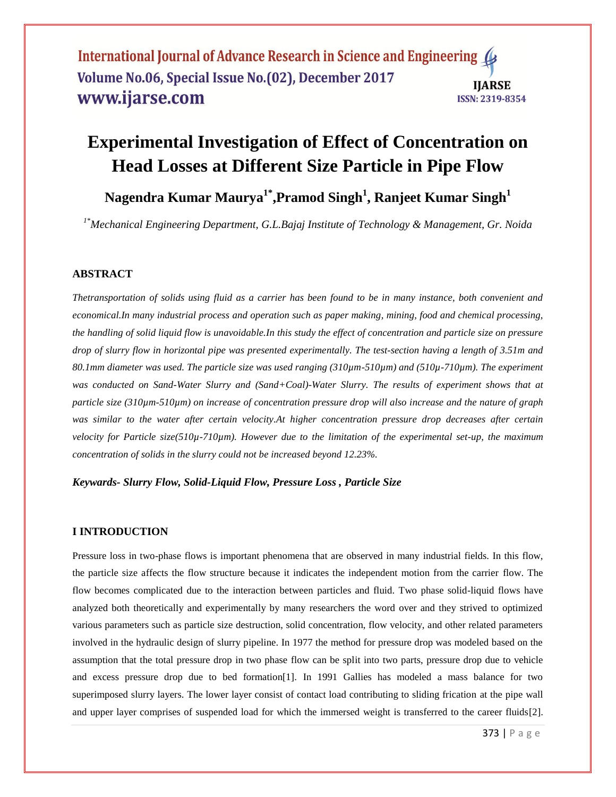# **Experimental Investigation of Effect of Concentration on Head Losses at Different Size Particle in Pipe Flow**

**Nagendra Kumar Maurya1\* ,Pramod Singh<sup>1</sup> , Ranjeet Kumar Singh<sup>1</sup>**

*1\*Mechanical Engineering Department, G.L.Bajaj Institute of Technology & Management, Gr. Noida*

# **ABSTRACT**

*Thetransportation of solids using fluid as a carrier has been found to be in many instance, both convenient and economical.In many industrial process and operation such as paper making, mining, food and chemical processing, the handling of solid liquid flow is unavoidable.In this study the effect of concentration and particle size on pressure drop of slurry flow in horizontal pipe was presented experimentally. The test-section having a length of 3.51m and 80.1mm diameter was used. The particle size was used ranging (310µm-510µm) and (510µ-710µm). The experiment*  was conducted on Sand-Water Slurry and (Sand+Coal)-Water Slurry. The results of experiment shows that at *particle size (310µm-510µm) on increase of concentration pressure drop will also increase and the nature of graph was similar to the water after certain velocity.At higher concentration pressure drop decreases after certain velocity for Particle size(510µ-710µm). However due to the limitation of the experimental set-up, the maximum concentration of solids in the slurry could not be increased beyond 12.23%.*

*Keywards- Slurry Flow, Solid-Liquid Flow, Pressure Loss , Particle Size*

# **I INTRODUCTION**

Pressure loss in two-phase flows is important phenomena that are observed in many industrial fields. In this flow, the particle size affects the flow structure because it indicates the independent motion from the carrier flow. The flow becomes complicated due to the interaction between particles and fluid. Two phase solid-liquid flows have analyzed both theoretically and experimentally by many researchers the word over and they strived to optimized various parameters such as particle size destruction, solid concentration, flow velocity, and other related parameters involved in the hydraulic design of slurry pipeline. In 1977 the method for pressure drop was modeled based on the assumption that the total pressure drop in two phase flow can be split into two parts, pressure drop due to vehicle and excess pressure drop due to bed formation[1]. In 1991 Gallies has modeled a mass balance for two superimposed slurry layers. The lower layer consist of contact load contributing to sliding frication at the pipe wall and upper layer comprises of suspended load for which the immersed weight is transferred to the career fluids[2].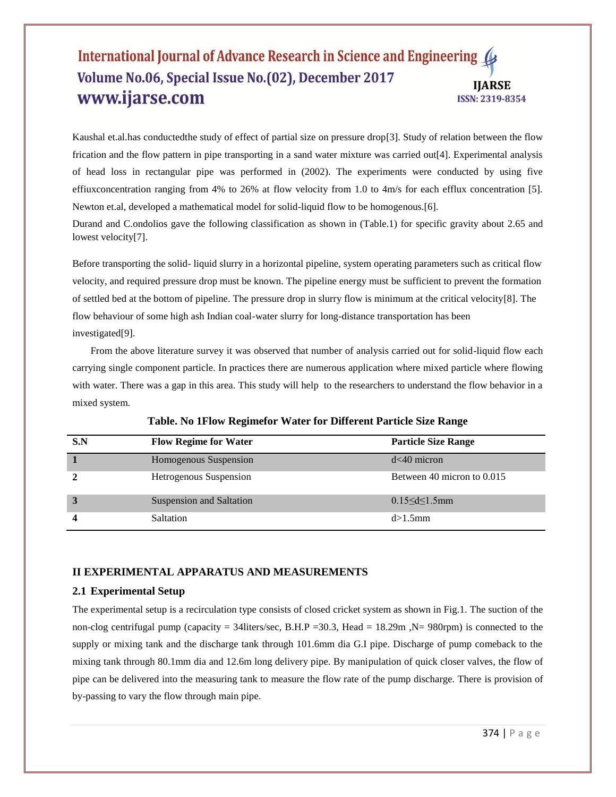Kaushal et.al.has conductedthe study of effect of partial size on pressure drop[3]. Study of relation between the flow frication and the flow pattern in pipe transporting in a sand water mixture was carried out[4]. Experimental analysis of head loss in rectangular pipe was performed in (2002). The experiments were conducted by using five effiuxconcentration ranging from 4% to 26% at flow velocity from 1.0 to 4m/s for each efflux concentration [5]. Newton et.al, developed a mathematical model for solid-liquid flow to be homogenous.[6].

Durand and C.ondolios gave the following classification as shown in (Table.1) for specific gravity about 2.65 and lowest velocity[7].

Before transporting the solid- liquid slurry in a horizontal pipeline, system operating parameters such as critical flow velocity, and required pressure drop must be known. The pipeline energy must be sufficient to prevent the formation of settled bed at the bottom of pipeline. The pressure drop in slurry flow is minimum at the critical velocity[8]. The flow behaviour of some high ash Indian coal-water slurry for long-distance transportation has been investigated[9].

From the above literature survey it was observed that number of analysis carried out for solid-liquid flow each carrying single component particle. In practices there are numerous application where mixed particle where flowing with water. There was a gap in this area. This study will help to the researchers to understand the flow behavior in a mixed system.

| S.N | <b>Flow Regime for Water</b> | <b>Particle Size Range</b> |
|-----|------------------------------|----------------------------|
|     | Homogenous Suspension        | $d<40$ micron              |
|     | Hetrogenous Suspension       | Between 40 micron to 0.015 |
|     | Suspension and Saltation     | $0.15 < d < 1.5$ mm        |
|     | Saltation                    | $d > 1.5$ mm               |

# **Table. No 1Flow Regimefor Water for Different Particle Size Range**

# **II EXPERIMENTAL APPARATUS AND MEASUREMENTS**

# **2.1 Experimental Setup**

The experimental setup is a recirculation type consists of closed cricket system as shown in Fig.1. The suction of the non-clog centrifugal pump (capacity = 34liters/sec, B.H.P = 30.3, Head = 18.29m , N= 980rpm) is connected to the supply or mixing tank and the discharge tank through 101.6mm dia G.I pipe. Discharge of pump comeback to the mixing tank through 80.1mm dia and 12.6m long delivery pipe. By manipulation of quick closer valves, the flow of pipe can be delivered into the measuring tank to measure the flow rate of the pump discharge. There is provision of by-passing to vary the flow through main pipe.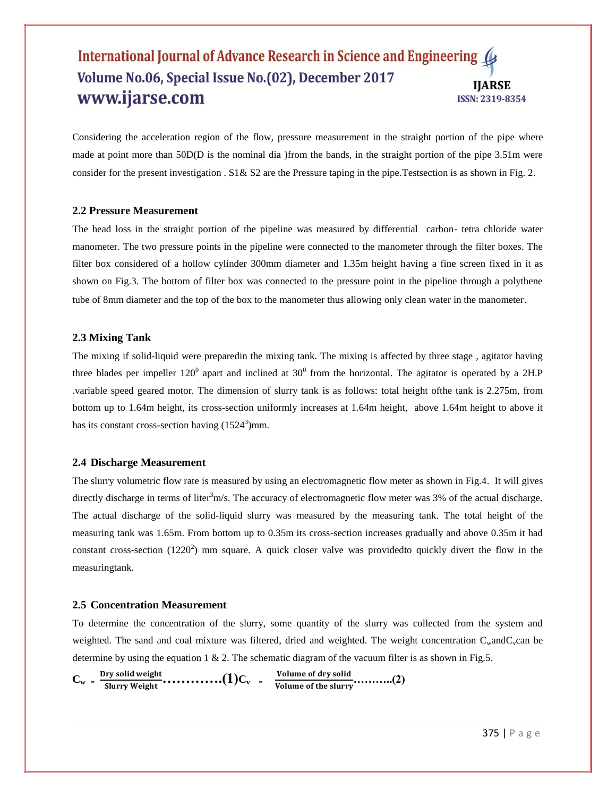Considering the acceleration region of the flow, pressure measurement in the straight portion of the pipe where made at point more than 50D(D is the nominal dia )from the bands, in the straight portion of the pipe 3.51m were consider for the present investigation . S1& S2 are the Pressure taping in the pipe. Tests ection is as shown in Fig. 2.

# **2.2 Pressure Measurement**

The head loss in the straight portion of the pipeline was measured by differential carbon- tetra chloride water manometer. The two pressure points in the pipeline were connected to the manometer through the filter boxes. The filter box considered of a hollow cylinder 300mm diameter and 1.35m height having a fine screen fixed in it as shown on Fig.3. The bottom of filter box was connected to the pressure point in the pipeline through a polythene tube of 8mm diameter and the top of the box to the manometer thus allowing only clean water in the manometer.

### **2.3 Mixing Tank**

The mixing if solid-liquid were preparedin the mixing tank. The mixing is affected by three stage , agitator having three blades per impeller  $120^0$  apart and inclined at  $30^0$  from the horizontal. The agitator is operated by a 2H.P .variable speed geared motor. The dimension of slurry tank is as follows: total height ofthe tank is 2.275m, from bottom up to 1.64m height, its cross-section uniformly increases at 1.64m height, above 1.64m height to above it has its constant cross-section having  $(1524<sup>3</sup>)$ mm.

#### **2.4 Discharge Measurement**

The slurry volumetric flow rate is measured by using an electromagnetic flow meter as shown in Fig.4. It will gives directly discharge in terms of liter $3m/s$ . The accuracy of electromagnetic flow meter was 3% of the actual discharge. The actual discharge of the solid-liquid slurry was measured by the measuring tank. The total height of the measuring tank was 1.65m. From bottom up to 0.35m its cross-section increases gradually and above 0.35m it had constant cross-section  $(1220^2)$  mm square. A quick closer valve was providedto quickly divert the flow in the measuringtank.

#### **2.5 Concentration Measurement**

To determine the concentration of the slurry, some quantity of the slurry was collected from the system and weighted. The sand and coal mixture was filtered, dried and weighted. The weight concentration  $C_w$  and  $C_v$ can be determine by using the equation 1  $\&$  2. The schematic diagram of the vacuum filter is as shown in Fig.5.

```
C_w = \frac{Dry \, solid \, weight}{Slurry \, Weight} \cdot \cdot \cdot \cdot \cdot \cdot \cdot \cdot \cdot \cdot (1) C_v = \frac{Volume \, of \, dry \, solid}{Volume \, of \, the \, slurry} \cdot \cdot \cdot \cdot \cdot \cdot \cdot \cdot (2)
```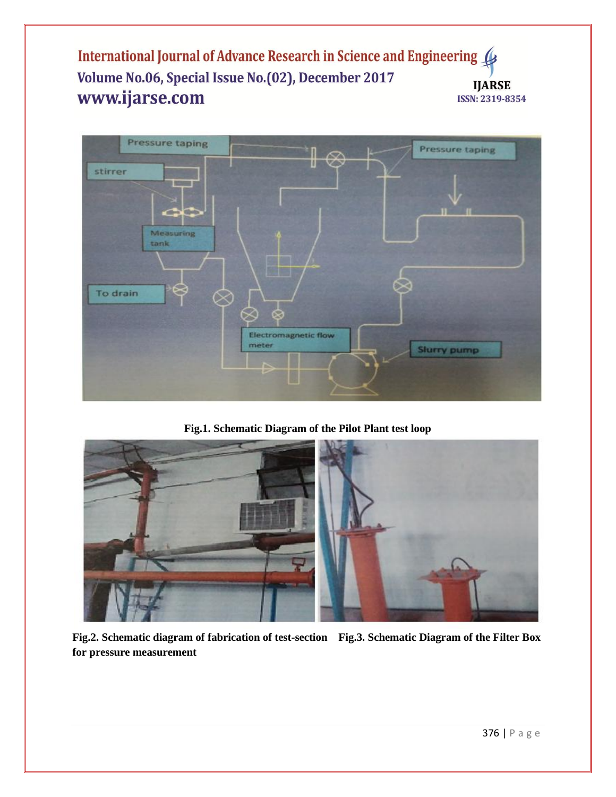

**Fig.1. Schematic Diagram of the Pilot Plant test loop**



**Fig.2. Schematic diagram of fabrication of test-section Fig.3. Schematic Diagram of the Filter Box for pressure measurement**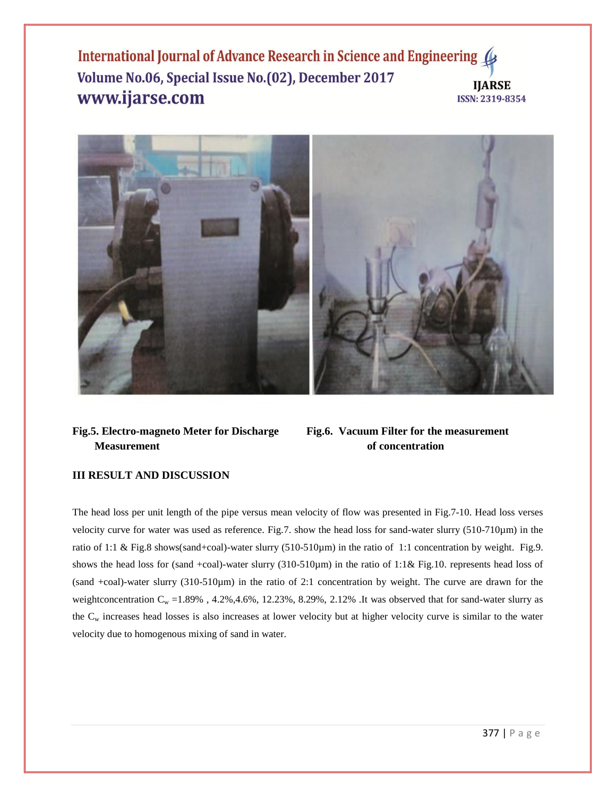

# **Fig.5. Electro-magneto Meter for Discharge Fig.6. Vacuum Filter for the measurement Measurement** of concentration

# **III RESULT AND DISCUSSION**

The head loss per unit length of the pipe versus mean velocity of flow was presented in Fig.7-10. Head loss verses velocity curve for water was used as reference. Fig.7. show the head loss for sand-water slurry (510-710µm) in the ratio of 1:1 & Fig.8 shows(sand+coal)-water slurry (510-510µm) in the ratio of 1:1 concentration by weight. Fig.9. shows the head loss for (sand +coal)-water slurry (310-510 $\mu$ m) in the ratio of 1:1& Fig.10. represents head loss of (sand +coal)-water slurry (310-510µm) in the ratio of 2:1 concentration by weight. The curve are drawn for the weightconcentration  $C_w = 1.89\%$ , 4.2%, 4.6%, 12.23%, 8.29%, 2.12% .It was observed that for sand-water slurry as the  $C_w$  increases head losses is also increases at lower velocity but at higher velocity curve is similar to the water velocity due to homogenous mixing of sand in water.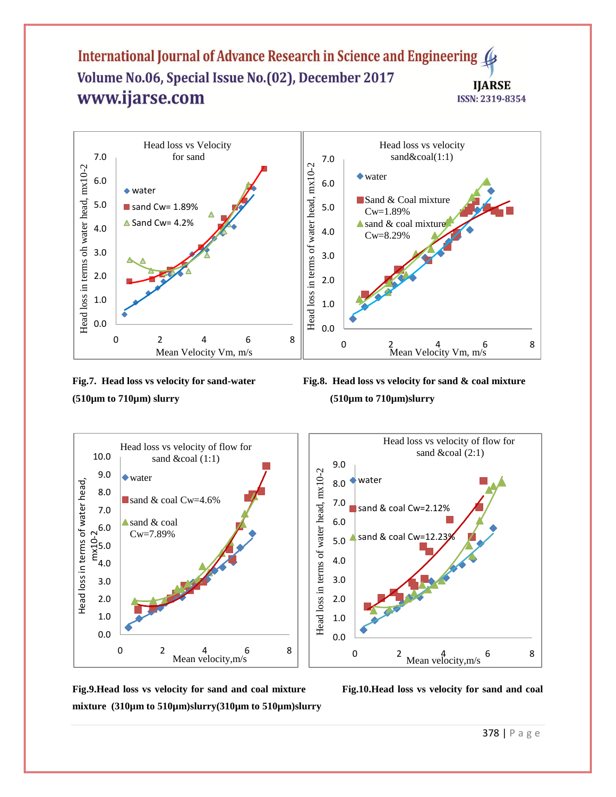



**Fig.7. Head loss vs velocity for sand-water Fig.8. Head loss vs velocity for sand & coal mixture** 



**Fig.9.Head loss vs velocity for sand and coal mixture Fig.10.Head loss vs velocity for sand and coal mixture (310µm to 510µm)slurry(310µm to 510µm)slurry**